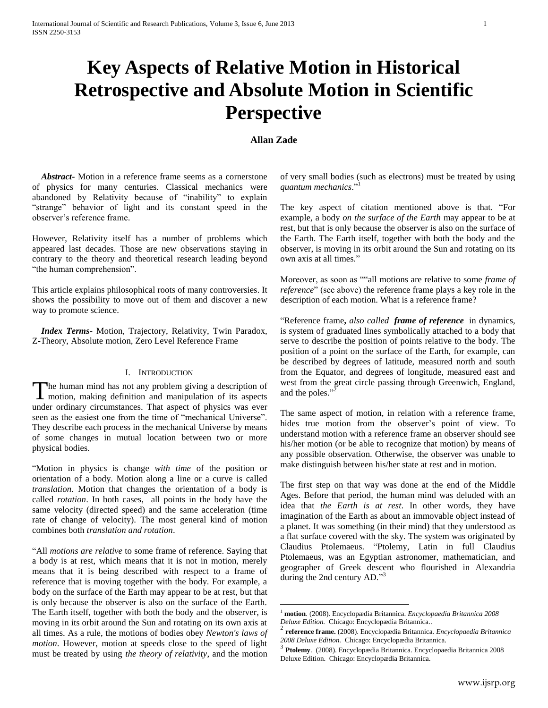# **Key Aspects of Relative Motion in Historical Retrospective and Absolute Motion in Scientific Perspective**

# **Allan Zade**

 $\overline{a}$ 

 *Abstract***-** Motion in a reference frame seems as a cornerstone of physics for many centuries. Classical mechanics were abandoned by Relativity because of "inability" to explain "strange" behavior of light and its constant speed in the observer's reference frame.

However, Relativity itself has a number of problems which appeared last decades. Those are new observations staying in contrary to the theory and theoretical research leading beyond "the human comprehension".

This article explains philosophical roots of many controversies. It shows the possibility to move out of them and discover a new way to promote science.

 *Index Terms*- Motion, Trajectory, Relativity, Twin Paradox, Z-Theory, Absolute motion, Zero Level Reference Frame

# I. INTRODUCTION

he human mind has not any problem giving a description of The human mind has not any problem giving a description of motion, making definition and manipulation of its aspects under ordinary circumstances. That aspect of physics was ever seen as the easiest one from the time of "mechanical Universe". They describe each process in the mechanical Universe by means of some changes in mutual location between two or more physical bodies.

"Motion in physics is change *with time* of the position or orientation of a body. Motion along a line or a curve is called *translation*. Motion that changes the orientation of a body is called *rotation*. In both cases, all points in the body have the same velocity (directed speed) and the same acceleration (time rate of change of velocity). The most general kind of motion combines both *translation and rotation*.

"All *motions are relative* to some frame of reference. Saying that a body is at rest, which means that it is not in motion, merely means that it is being described with respect to a frame of reference that is moving together with the body. For example, a body on the surface of the Earth may appear to be at rest, but that is only because the observer is also on the surface of the Earth. The Earth itself, together with both the body and the observer, is moving in its orbit around the Sun and rotating on its own axis at all times. As a rule, the motions of bodies obey *Newton's laws of motion*. However, motion at speeds close to the speed of light must be treated by using *the theory of relativity*, and the motion

of very small bodies (such as electrons) must be treated by using *quantum mechanics*." 1

The key aspect of citation mentioned above is that. "For example, a body *on the surface of the Earth* may appear to be at rest, but that is only because the observer is also on the surface of the Earth. The Earth itself, together with both the body and the observer, is moving in its orbit around the Sun and rotating on its own axis at all times."

Moreover, as soon as ""all motions are relative to some *frame of reference*" (see above) the reference frame plays a key role in the description of each motion. What is a reference frame?

"Reference frame**,** *also called frame of reference* in dynamics, is system of graduated lines symbolically attached to a body that serve to describe the position of points relative to the body. The position of a point on the surface of the Earth, for example, can be described by degrees of latitude, measured north and south from the Equator, and degrees of longitude, measured east and west from the great circle passing through Greenwich, England, and the palae  $\frac{1}{2}$ and the poles."

The same aspect of motion, in relation with a reference frame, hides true motion from the observer's point of view. To understand motion with a reference frame an observer should see his/her motion (or be able to recognize that motion) by means of any possible observation. Otherwise, the observer was unable to make distinguish between his/her state at rest and in motion.

The first step on that way was done at the end of the Middle Ages. Before that period, the human mind was deluded with an idea that *the Earth is at rest*. In other words, they have imagination of the Earth as about an immovable object instead of a planet. It was something (in their mind) that they understood as a flat surface covered with the sky. The system was originated by Claudius Ptolemaeus. "Ptolemy, Latin in full Claudius Ptolemaeus, was an Egyptian astronomer, mathematician, and geographer of Greek descent who flourished in Alexandria during the 2nd century AD."<sup>3</sup>

<sup>1</sup> **motion**. (2008). Encyclopædia Britannica. *Encyclopaedia Britannica 2008 Deluxe Edition.* Chicago: Encyclopædia Britannica..

<sup>2</sup> **reference frame.** (2008). Encyclopædia Britannica. *Encyclopaedia Britannica 2008 Deluxe Edition.* Chicago: Encyclopædia Britannica. 3

**Ptolemy**. (2008). Encyclopædia Britannica. Encyclopaedia Britannica 2008 Deluxe Edition. Chicago: Encyclopædia Britannica.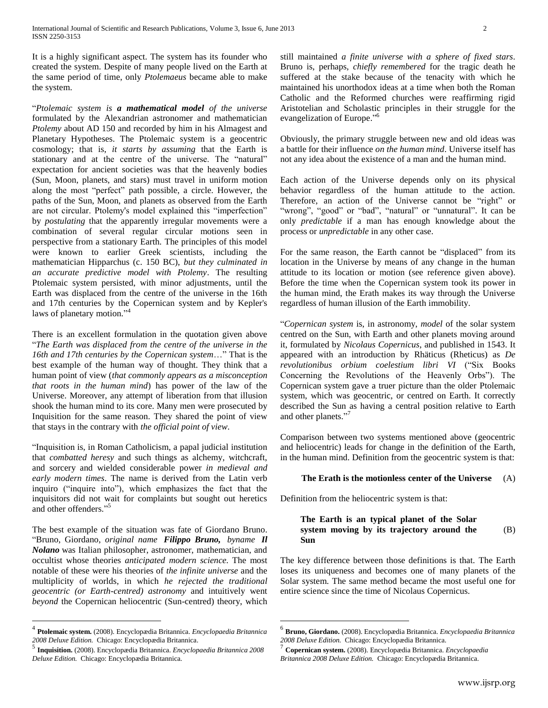It is a highly significant aspect. The system has its founder who created the system. Despite of many people lived on the Earth at the same period of time, only *Ptolemaeus* became able to make the system.

"*Ptolemaic system is a mathematical model of the universe*  formulated by the Alexandrian astronomer and mathematician *Ptolemy* about AD 150 and recorded by him in his Almagest and Planetary Hypotheses. The Ptolemaic system is a geocentric cosmology; that is, *it starts by assuming* that the Earth is stationary and at the centre of the universe. The "natural" expectation for ancient societies was that the heavenly bodies (Sun, Moon, planets, and stars) must travel in uniform motion along the most "perfect" path possible, a circle. However, the paths of the Sun, Moon, and planets as observed from the Earth are not circular. Ptolemy's model explained this "imperfection" by *postulating* that the apparently irregular movements were a combination of several regular circular motions seen in perspective from a stationary Earth. The principles of this model were known to earlier Greek scientists, including the mathematician Hipparchus (c. 150 BC), *but they culminated in an accurate predictive model with Ptolemy*. The resulting Ptolemaic system persisted, with minor adjustments, until the Earth was displaced from the centre of the universe in the 16th and 17th centuries by the Copernican system and by Kepler's laws of planetary motion."<sup>4</sup>

There is an excellent formulation in the quotation given above "*The Earth was displaced from the centre of the universe in the 16th and 17th centuries by the Copernican system*…" That is the best example of the human way of thought. They think that a human point of view (*that commonly appears as a misconception that roots in the human mind*) has power of the law of the Universe. Moreover, any attempt of liberation from that illusion shook the human mind to its core. Many men were prosecuted by Inquisition for the same reason. They shared the point of view that stays in the contrary with *the official point of view*.

"Inquisition is, in Roman Catholicism, a papal judicial institution that *combatted heresy* and such things as alchemy, witchcraft, and sorcery and wielded considerable power *in medieval and early modern times*. The name is derived from the Latin verb inquiro ("inquire into"), which emphasizes the fact that the inquisitors did not wait for complaints but sought out heretics and other offenders."<sup>5</sup>

The best example of the situation was fate of Giordano Bruno. "Bruno, Giordano, *original name Filippo Bruno, byname Il Nolano* was Italian philosopher, astronomer, mathematician, and occultist whose theories *anticipated modern science.* The most notable of these were his theories of *the infinite universe* and the multiplicity of worlds, in which *he rejected the traditional geocentric (or Earth-centred) astronomy* and intuitively went *beyond* the Copernican heliocentric (Sun-centred) theory, which

 $\overline{a}$ 

still maintained *a finite universe with a sphere of fixed stars*. Bruno is, perhaps, *chiefly remembered* for the tragic death he suffered at the stake because of the tenacity with which he maintained his unorthodox ideas at a time when both the Roman Catholic and the Reformed churches were reaffirming rigid Aristotelian and Scholastic principles in their struggle for the evangelization of Europe."<sup>6</sup>

Obviously, the primary struggle between new and old ideas was a battle for their influence *on the human mind*. Universe itself has not any idea about the existence of a man and the human mind.

Each action of the Universe depends only on its physical behavior regardless of the human attitude to the action. Therefore, an action of the Universe cannot be "right" or "wrong", "good" or "bad", "natural" or "unnatural". It can be only *predictable* if a man has enough knowledge about the process or *unpredictable* in any other case.

For the same reason, the Earth cannot be "displaced" from its location in the Universe by means of any change in the human attitude to its location or motion (see reference given above). Before the time when the Copernican system took its power in the human mind, the Erath makes its way through the Universe regardless of human illusion of the Earth immobility.

"*Copernican system* is, in astronomy, *model* of the solar system centred on the Sun, with Earth and other planets moving around it, formulated by *Nicolaus Copernicus*, and published in 1543. It appeared with an introduction by Rhäticus (Rheticus) as *De revolutionibus orbium coelestium libri VI* ("Six Books Concerning the Revolutions of the Heavenly Orbs"). The Copernican system gave a truer picture than the older Ptolemaic system, which was geocentric, or centred on Earth. It correctly described the Sun as having a central position relative to Earth and other planets."<sup>7</sup>

Comparison between two systems mentioned above (geocentric and heliocentric) leads for change in the definition of the Earth, in the human mind. Definition from the geocentric system is that:

# **The Erath is the motionless center of the Universe** (A)

Definition from the heliocentric system is that:

 $\overline{a}$ 

## **The Earth is an typical planet of the Solar system moving by its trajectory around the Sun**  (B)

The key difference between those definitions is that. The Earth loses its uniqueness and becomes one of many planets of the Solar system. The same method became the most useful one for entire science since the time of Nicolaus Copernicus.

<sup>4</sup> **Ptolemaic system.** (2008). Encyclopædia Britannica. *Encyclopaedia Britannica 2008 Deluxe Edition.* Chicago: Encyclopædia Britannica.

<sup>5</sup> **Inquisition.** (2008). Encyclopædia Britannica. *Encyclopaedia Britannica 2008 Deluxe Edition.* Chicago: Encyclopædia Britannica.

<sup>6</sup> **Bruno, Giordano.** (2008). Encyclopædia Britannica. *Encyclopaedia Britannica 2008 Deluxe Edition.* Chicago: Encyclopædia Britannica.

<sup>7</sup> **Copernican system.** (2008). Encyclopædia Britannica. *Encyclopaedia Britannica 2008 Deluxe Edition.* Chicago: Encyclopædia Britannica.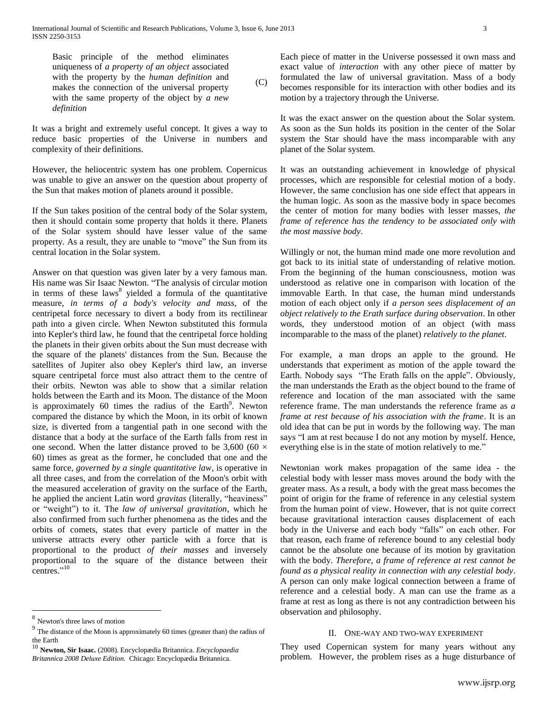Basic principle of the method eliminates uniqueness of *a property of an object* associated with the property by the *human definition* and makes the connection of the universal property with the same property of the object by *a new definition*  $(C)$ 

It was a bright and extremely useful concept. It gives a way to reduce basic properties of the Universe in numbers and complexity of their definitions.

However, the heliocentric system has one problem. Copernicus was unable to give an answer on the question about property of the Sun that makes motion of planets around it possible.

If the Sun takes position of the central body of the Solar system, then it should contain some property that holds it there. Planets of the Solar system should have lesser value of the same property. As a result, they are unable to "move" the Sun from its central location in the Solar system.

Answer on that question was given later by a very famous man. His name was Sir Isaac Newton. "The analysis of circular motion in terms of these  $laws<sup>8</sup>$  yielded a formula of the quantitative measure, *in terms of a body's velocity and mass*, of the centripetal force necessary to divert a body from its rectilinear path into a given circle. When Newton substituted this formula into Kepler's third law, he found that the centripetal force holding the planets in their given orbits about the Sun must decrease with the square of the planets' distances from the Sun. Because the satellites of Jupiter also obey Kepler's third law, an inverse square centripetal force must also attract them to the centre of their orbits. Newton was able to show that a similar relation holds between the Earth and its Moon. The distance of the Moon is approximately 60 times the radius of the Earth<sup>9</sup>. Newton compared the distance by which the Moon, in its orbit of known size, is diverted from a tangential path in one second with the distance that a body at the surface of the Earth falls from rest in one second. When the latter distance proved to be 3,600 (60  $\times$ 60) times as great as the former, he concluded that one and the same force, *governed by a single quantitative law*, is operative in all three cases, and from the correlation of the Moon's orbit with the measured acceleration of gravity on the surface of the Earth, he applied the ancient Latin word *gravitas* (literally, "heaviness" or "weight") to it. The *law of universal gravitation*, which he also confirmed from such further phenomena as the tides and the orbits of comets, states that every particle of matter in the universe attracts every other particle with a force that is proportional to the product *of their masses* and inversely proportional to the square of the distance between their centres."<sup>10</sup>

 $\overline{a}$ 

Each piece of matter in the Universe possessed it own mass and exact value of *interaction* with any other piece of matter by formulated the law of universal gravitation. Mass of a body becomes responsible for its interaction with other bodies and its motion by a trajectory through the Universe.

It was the exact answer on the question about the Solar system. As soon as the Sun holds its position in the center of the Solar system the Star should have the mass incomparable with any planet of the Solar system.

It was an outstanding achievement in knowledge of physical processes, which are responsible for celestial motion of a body. However, the same conclusion has one side effect that appears in the human logic. As soon as the massive body in space becomes the center of motion for many bodies with lesser masses, *the frame of reference has the tendency to be associated only with the most massive body*.

Willingly or not, the human mind made one more revolution and got back to its initial state of understanding of relative motion. From the beginning of the human consciousness, motion was understood as relative one in comparison with location of the immovable Earth. In that case, the human mind understands motion of each object only if *a person sees displacement of an object relatively to the Erath surface during observation*. In other words, they understood motion of an object (with mass incomparable to the mass of the planet) *relatively to the planet*.

For example, a man drops an apple to the ground. He understands that experiment as motion of the apple toward the Earth. Nobody says "The Erath falls on the apple". Obviously, the man understands the Erath as the object bound to the frame of reference and location of the man associated with the same reference frame. The man understands the reference frame as *a frame at rest because of his association with the frame*. It is an old idea that can be put in words by the following way. The man says "I am at rest because I do not any motion by myself. Hence, everything else is in the state of motion relatively to me."

Newtonian work makes propagation of the same idea - the celestial body with lesser mass moves around the body with the greater mass. As a result, a body with the great mass becomes the point of origin for the frame of reference in any celestial system from the human point of view. However, that is not quite correct because gravitational interaction causes displacement of each body in the Universe and each body "falls" on each other. For that reason, each frame of reference bound to any celestial body cannot be the absolute one because of its motion by gravitation with the body. *Therefore, a frame of reference at rest cannot be found as a physical reality in connection with any celestial body*. A person can only make logical connection between a frame of reference and a celestial body. A man can use the frame as a frame at rest as long as there is not any contradiction between his observation and philosophy.

# II. ONE-WAY AND TWO-WAY EXPERIMENT

They used Copernican system for many years without any problem. However, the problem rises as a huge disturbance of

<sup>8</sup> Newton's three laws of motion

 $9<sup>9</sup>$  The distance of the Moon is approximately 60 times (greater than) the radius of the Earth

<sup>10</sup> **Newton, Sir Isaac.** (2008). Encyclopædia Britannica. *Encyclopaedia Britannica 2008 Deluxe Edition.* Chicago: Encyclopædia Britannica.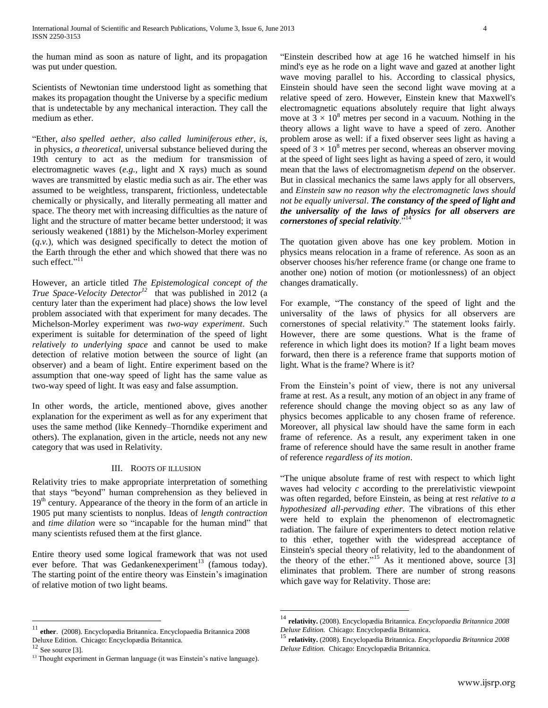the human mind as soon as nature of light, and its propagation was put under question.

Scientists of Newtonian time understood light as something that makes its propagation thought the Universe by a specific medium that is undetectable by any mechanical interaction. They call the medium as ether.

"Ether, *also spelled aether, also called luminiferous ether, is,* in physics, *a theoretical*, universal substance believed during the 19th century to act as the medium for transmission of electromagnetic waves (*e.g.,* light and X rays) much as sound waves are transmitted by elastic media such as air. The ether was assumed to be weightless, transparent, frictionless, undetectable chemically or physically, and literally permeating all matter and space. The theory met with increasing difficulties as the nature of light and the structure of matter became better understood; it was seriously weakened (1881) by the Michelson-Morley experiment (*q.v.*), which was designed specifically to detect the motion of the Earth through the ether and which showed that there was no such effect."<sup>11</sup>

However, an article titled *The Epistemological concept of the True Space-Velocity Detector<sup>12</sup>* that was published in 2012 (a century later than the experiment had place) shows the low level problem associated with that experiment for many decades. The Michelson-Morley experiment was *two-way experiment*. Such experiment is suitable for determination of the speed of light *relatively to underlying space* and cannot be used to make detection of relative motion between the source of light (an observer) and a beam of light. Entire experiment based on the assumption that one-way speed of light has the same value as two-way speed of light. It was easy and false assumption.

In other words, the article, mentioned above, gives another explanation for the experiment as well as for any experiment that uses the same method (like Kennedy–Thorndike experiment and others). The explanation, given in the article, needs not any new category that was used in Relativity.

# III. ROOTS OF ILLUSION

Relativity tries to make appropriate interpretation of something that stays "beyond" human comprehension as they believed in 19<sup>th</sup> century. Appearance of the theory in the form of an article in 1905 put many scientists to nonplus. Ideas of *length contraction* and *time dilation* were so "incapable for the human mind" that many scientists refused them at the first glance.

Entire theory used some logical framework that was not used ever before. That was Gedankenexperiment<sup>13</sup> (famous today). The starting point of the entire theory was Einstein's imagination of relative motion of two light beams.

 $\overline{a}$ 

"Einstein described how at age 16 he watched himself in his mind's eye as he rode on a light wave and gazed at another light wave moving parallel to his. According to classical physics, Einstein should have seen the second light wave moving at a relative speed of zero. However, Einstein knew that Maxwell's electromagnetic equations absolutely require that light always move at  $3 \times 10^8$  metres per second in a vacuum. Nothing in the theory allows a light wave to have a speed of zero. Another problem arose as well: if a fixed observer sees light as having a speed of  $3 \times 10^8$  metres per second, whereas an observer moving at the speed of light sees light as having a speed of zero, it would mean that the laws of electromagnetism *depend* on the observer. But in classical mechanics the same laws apply for all observers, and *Einstein saw no reason why the electromagnetic laws should not be equally universal*. *The constancy of the speed of light and the universality of the laws of physics for all observers are cornerstones of special relativity*." 14

The quotation given above has one key problem. Motion in physics means relocation in a frame of reference. As soon as an observer chooses his/her reference frame (or change one frame to another one) notion of motion (or motionlessness) of an object changes dramatically.

For example, "The constancy of the speed of light and the universality of the laws of physics for all observers are cornerstones of special relativity." The statement looks fairly. However, there are some questions. What is the frame of reference in which light does its motion? If a light beam moves forward, then there is a reference frame that supports motion of light. What is the frame? Where is it?

From the Einstein's point of view, there is not any universal frame at rest. As a result, any motion of an object in any frame of reference should change the moving object so as any law of physics becomes applicable to any chosen frame of reference. Moreover, all physical law should have the same form in each frame of reference. As a result, any experiment taken in one frame of reference should have the same result in another frame of reference *regardless of its motion*.

"The unique absolute frame of rest with respect to which light waves had velocity *c* according to the prerelativistic viewpoint was often regarded, before Einstein, as being at rest *relative to a hypothesized all-pervading ether*. The vibrations of this ether were held to explain the phenomenon of electromagnetic radiation. The failure of experimenters to detect motion relative to this ether, together with the widespread acceptance of Einstein's special theory of relativity, led to the abandonment of the theory of the ether."<sup>15</sup> As it mentioned above, source [3] eliminates that problem. There are number of strong reasons which gave way for Relativity. Those are:

<sup>11</sup> **ether**. (2008). Encyclopædia Britannica. Encyclopaedia Britannica 2008 Deluxe Edition. Chicago: Encyclopædia Britannica.

See source [3].

<sup>&</sup>lt;sup>13</sup> Thought experiment in German language (it was Einstein's native language).

<sup>14</sup> **relativity.** (2008). Encyclopædia Britannica. *Encyclopaedia Britannica 2008 Deluxe Edition.* Chicago: Encyclopædia Britannica.

<sup>15</sup> **relativity.** (2008). Encyclopædia Britannica. *Encyclopaedia Britannica 2008 Deluxe Edition.* Chicago: Encyclopædia Britannica.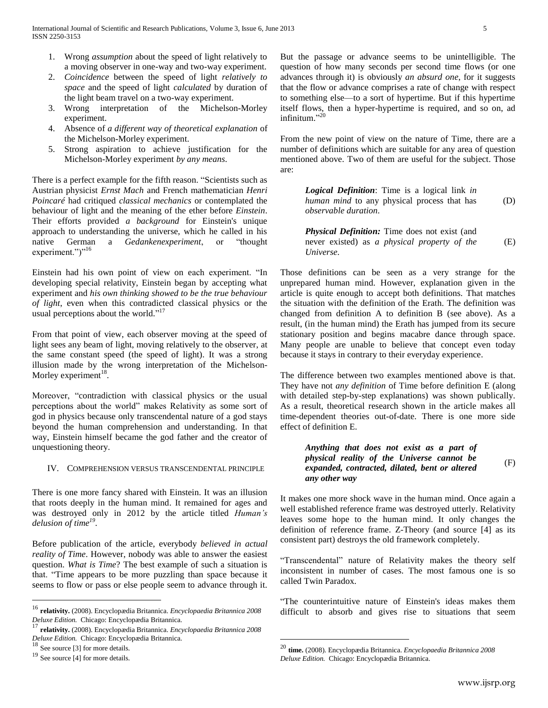- 1. Wrong *assumption* about the speed of light relatively to a moving observer in one-way and two-way experiment.
- 2. *Coincidence* between the speed of light *relatively to space* and the speed of light *calculated* by duration of the light beam travel on a two-way experiment.
- 3. Wrong interpretation of the Michelson-Morley experiment.
- 4. Absence of *a different way of theoretical explanation* of the Michelson-Morley experiment.
- 5. Strong aspiration to achieve justification for the Michelson-Morley experiment *by any means*.

There is a perfect example for the fifth reason. "Scientists such as Austrian physicist *Ernst Mach* and French mathematician *Henri Poincaré* had critiqued *classical mechanics* or contemplated the behaviour of light and the meaning of the ether before *Einstein*. Their efforts provided *a background* for Einstein's unique approach to understanding the universe, which he called in his native German a *Gedankenexperiment*, or "thought experiment.")"<sup>16</sup>

Einstein had his own point of view on each experiment. "In developing special relativity, Einstein began by accepting what experiment and *his own thinking showed to be the true behaviour of light*, even when this contradicted classical physics or the usual perceptions about the world."<sup>17</sup>

From that point of view, each observer moving at the speed of light sees any beam of light, moving relatively to the observer, at the same constant speed (the speed of light). It was a strong illusion made by the wrong interpretation of the Michelson-Morley experiment $^{18}$ .

Moreover, "contradiction with classical physics or the usual perceptions about the world" makes Relativity as some sort of god in physics because only transcendental nature of a god stays beyond the human comprehension and understanding. In that way, Einstein himself became the god father and the creator of unquestioning theory.

# IV. COMPREHENSION VERSUS TRANSCENDENTAL PRINCIPLE

There is one more fancy shared with Einstein. It was an illusion that roots deeply in the human mind. It remained for ages and was destroyed only in 2012 by the article titled *Human's delusion of time<sup>19</sup>* .

Before publication of the article, everybody *believed in actual reality of Time*. However, nobody was able to answer the easiest question. *What is Time*? The best example of such a situation is that. "Time appears to be more puzzling than space because it seems to flow or pass or else people seem to advance through it.

 $\overline{a}$ 

But the passage or advance seems to be unintelligible. The question of how many seconds per second time flows (or one advances through it) is obviously *an absurd one*, for it suggests that the flow or advance comprises a rate of change with respect to something else—to a sort of hypertime. But if this hypertime itself flows, then a hyper-hypertime is required, and so on, ad infinitum." 20

From the new point of view on the nature of Time, there are a number of definitions which are suitable for any area of question mentioned above. Two of them are useful for the subject. Those are:

> *Logical Definition*: Time is a logical link *in human mind* to any physical process that has *observable duration*. (D)

> *Physical Definition:* Time does not exist (and never existed) as *a physical property of the Universe*. (E)

Those definitions can be seen as a very strange for the unprepared human mind. However, explanation given in the article is quite enough to accept both definitions. That matches the situation with the definition of the Erath. The definition was changed from definition A to definition B (see above). As a result, (in the human mind) the Erath has jumped from its secure stationary position and begins macabre dance through space. Many people are unable to believe that concept even today because it stays in contrary to their everyday experience.

The difference between two examples mentioned above is that. They have not *any definition* of Time before definition E (along with detailed step-by-step explanations) was shown publically. As a result, theoretical research shown in the article makes all time-dependent theories out-of-date. There is one more side effect of definition E.

## *Anything that does not exist as a part of physical reality of the Universe cannot be expanded, contracted, dilated, bent or altered any other way* (F)

It makes one more shock wave in the human mind. Once again a well established reference frame was destroyed utterly. Relativity leaves some hope to the human mind. It only changes the definition of reference frame. Z-Theory (and source [4] as its consistent part) destroys the old framework completely.

"Transcendental" nature of Relativity makes the theory self inconsistent in number of cases. The most famous one is so called Twin Paradox.

"The counterintuitive nature of Einstein's ideas makes them difficult to absorb and gives rise to situations that seem

<sup>16</sup> **relativity.** (2008). Encyclopædia Britannica. *Encyclopaedia Britannica 2008 Deluxe Edition.* Chicago: Encyclopædia Britannica.

<sup>17</sup> **relativity.** (2008). Encyclopædia Britannica. *Encyclopaedia Britannica 2008 Deluxe Edition.* Chicago: Encyclopædia Britannica.<br><sup>18</sup> Sec 55 - <sup>16</sup> College 19 College 16 College 16 College 16 College 16 College 16 College 16 College 16 College 16 College 16 College 16 College 16 College 16 College

See source [3] for more details.

<sup>19</sup> See source [4] for more details.

<sup>20</sup> **time.** (2008). Encyclopædia Britannica. *Encyclopaedia Britannica 2008 Deluxe Edition.* Chicago: Encyclopædia Britannica.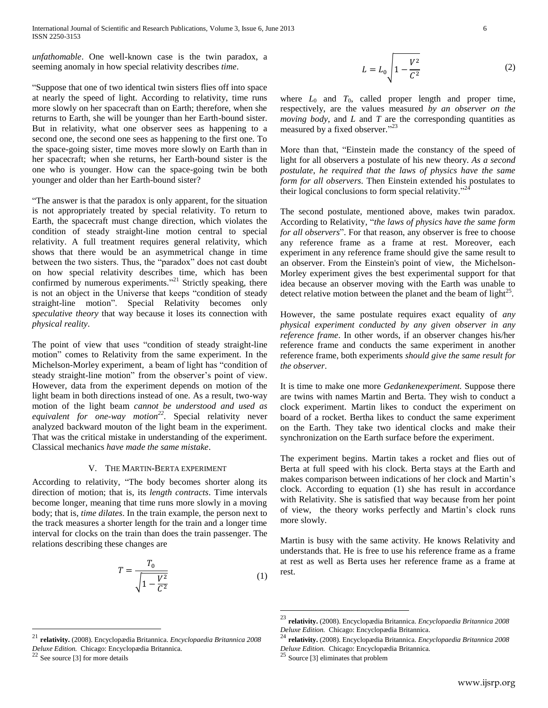International Journal of Scientific and Research Publications, Volume 3, Issue 6, June 2013 6 ISSN 2250-3153

*unfathomable*. One well-known case is the twin paradox, a seeming anomaly in how special relativity describes *time*.

"Suppose that one of two identical twin sisters flies off into space at nearly the speed of light. According to relativity, time runs more slowly on her spacecraft than on Earth; therefore, when she returns to Earth, she will be younger than her Earth-bound sister. But in relativity, what one observer sees as happening to a second one, the second one sees as happening to the first one. To the space-going sister, time moves more slowly on Earth than in her spacecraft; when she returns, her Earth-bound sister is the one who is younger. How can the space-going twin be both younger and older than her Earth-bound sister?

"The answer is that the paradox is only apparent, for the situation is not appropriately treated by special relativity. To return to Earth, the spacecraft must change direction, which violates the condition of steady straight-line motion central to special relativity. A full treatment requires general relativity, which shows that there would be an asymmetrical change in time between the two sisters. Thus, the "paradox" does not cast doubt on how special relativity describes time, which has been confirmed by numerous experiments."<sup>21</sup> Strictly speaking, there is not an object in the Universe that keeps "condition of steady straight-line motion". Special Relativity becomes only *speculative theory* that way because it loses its connection with *physical reality*.

The point of view that uses "condition of steady straight-line motion" comes to Relativity from the same experiment. In the Michelson-Morley experiment, a beam of light has "condition of steady straight-line motion" from the observer's point of view. However, data from the experiment depends on motion of the light beam in both directions instead of one. As a result, two-way motion of the light beam *cannot be understood and used as equivalent for one-way motion<sup>22</sup>* . Special relativity never analyzed backward mouton of the light beam in the experiment. That was the critical mistake in understanding of the experiment. Classical mechanics *have made the same mistake*.

# V. THE MARTIN-BERTA EXPERIMENT

According to relativity, "The body becomes shorter along its direction of motion; that is, its *length contracts*. Time intervals become longer, meaning that time runs more slowly in a moving body; that is, *time dilates*. In the train example, the person next to the track measures a shorter length for the train and a longer time interval for clocks on the train than does the train passenger. The relations describing these changes are

$$
T = \frac{T_0}{\sqrt{1 - \frac{V^2}{C^2}}} \tag{1}
$$

See source [3] for more details

 $\overline{a}$ 

$$
L = L_0 \sqrt{1 - \frac{V^2}{C^2}}
$$
 (2)

where  $L_0$  and  $T_0$ , called proper length and proper time, respectively, are the values measured *by an observer on the moving body*, and *L* and *T* are the corresponding quantities as measured by a fixed observer."<sup>23</sup>

More than that, "Einstein made the constancy of the speed of light for all observers a postulate of his new theory. *As a second postulate*, *he required that the laws of physics have the same form for all observers*. Then Einstein extended his postulates to their logical conclusions to form special relativity."<sup>24</sup>

The second postulate, mentioned above, makes twin paradox. According to Relativity, "*the laws of physics have the same form for all observers*". For that reason, any observer is free to choose any reference frame as a frame at rest. Moreover, each experiment in any reference frame should give the same result to an observer. From the Einstein's point of view, the Michelson-Morley experiment gives the best experimental support for that idea because an observer moving with the Earth was unable to detect relative motion between the planet and the beam of light $^{25}$ .

However, the same postulate requires exact equality of *any physical experiment conducted by any given observer in any reference frame*. In other words, if an observer changes his/her reference frame and conducts the same experiment in another reference frame, both experiments *should give the same result for the observer*.

It is time to make one more *Gedankenexperiment.* Suppose there are twins with names Martin and Berta. They wish to conduct a clock experiment. Martin likes to conduct the experiment on board of a rocket. Bertha likes to conduct the same experiment on the Earth. They take two identical clocks and make their synchronization on the Earth surface before the experiment.

The experiment begins. Martin takes a rocket and flies out of Berta at full speed with his clock. Berta stays at the Earth and makes comparison between indications of her clock and Martin's clock. According to equation (1) she has result in accordance with Relativity. She is satisfied that way because from her point of view, the theory works perfectly and Martin's clock runs more slowly.

Martin is busy with the same activity. He knows Relativity and understands that. He is free to use his reference frame as a frame at rest as well as Berta uses her reference frame as a frame at rest.

<sup>21</sup> **relativity.** (2008). Encyclopædia Britannica. *Encyclopaedia Britannica 2008 Deluxe Edition.* Chicago: Encyclopædia Britannica.

<sup>23</sup> **relativity.** (2008). Encyclopædia Britannica. *Encyclopaedia Britannica 2008 Deluxe Edition.* Chicago: Encyclopædia Britannica.

<sup>24</sup> **relativity.** (2008). Encyclopædia Britannica. *Encyclopaedia Britannica 2008 Deluxe Edition.* Chicago: Encyclopædia Britannica.

Source [3] eliminates that problem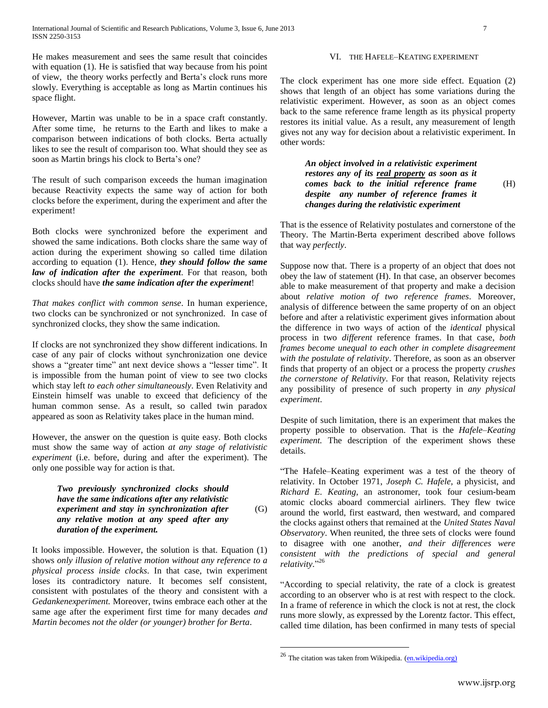He makes measurement and sees the same result that coincides with equation (1). He is satisfied that way because from his point of view, the theory works perfectly and Berta's clock runs more slowly. Everything is acceptable as long as Martin continues his space flight.

However, Martin was unable to be in a space craft constantly. After some time, he returns to the Earth and likes to make a comparison between indications of both clocks. Berta actually likes to see the result of comparison too. What should they see as soon as Martin brings his clock to Berta's one?

The result of such comparison exceeds the human imagination because Reactivity expects the same way of action for both clocks before the experiment, during the experiment and after the experiment!

Both clocks were synchronized before the experiment and showed the same indications. Both clocks share the same way of action during the experiment showing so called time dilation according to equation (1). Hence, *they should follow the same law of indication after the experiment*. For that reason, both clocks should have *the same indication after the experiment*!

*That makes conflict with common sense*. In human experience, two clocks can be synchronized or not synchronized. In case of synchronized clocks, they show the same indication.

If clocks are not synchronized they show different indications. In case of any pair of clocks without synchronization one device shows a "greater time" ant next device shows a "lesser time". It is impossible from the human point of view to see two clocks which stay left *to each other simultaneously*. Even Relativity and Einstein himself was unable to exceed that deficiency of the human common sense. As a result, so called twin paradox appeared as soon as Relativity takes place in the human mind.

However, the answer on the question is quite easy. Both clocks must show the same way of action *at any stage of relativistic experiment* (i.e. before, during and after the experiment). The only one possible way for action is that.

## *Two previously synchronized clocks should have the same indications after any relativistic experiment and stay in synchronization after any relative motion at any speed after any duration of the experiment.*  (G)

It looks impossible. However, the solution is that. Equation (1) shows *only illusion of relative motion without any reference to a physical process inside clocks*. In that case, twin experiment loses its contradictory nature. It becomes self consistent, consistent with postulates of the theory and consistent with a *Gedankenexperiment.* Moreover, twins embrace each other at the same age after the experiment first time for many decades *and Martin becomes not the older (or younger) brother for Berta*.

# VI. THE HAFELE–KEATING EXPERIMENT

The clock experiment has one more side effect. Equation (2) shows that length of an object has some variations during the relativistic experiment. However, as soon as an object comes back to the same reference frame length as its physical property restores its initial value. As a result, any measurement of length gives not any way for decision about a relativistic experiment. In other words:

*An object involved in a relativistic experiment restores any of its real property as soon as it comes back to the initial reference frame despite any number of reference frames it changes during the relativistic experiment* (H)

That is the essence of Relativity postulates and cornerstone of the Theory. The Martin-Berta experiment described above follows that way *perfectly*.

Suppose now that. There is a property of an object that does not obey the law of statement (H). In that case, an observer becomes able to make measurement of that property and make a decision about *relative motion of two reference frames*. Moreover, analysis of difference between the same property of on an object before and after a relativistic experiment gives information about the difference in two ways of action of the *identical* physical process in two *different* reference frames. In that case, *both frames become unequal to each other in complete disagreement with the postulate of relativity*. Therefore, as soon as an observer finds that property of an object or a process the property *crushes the cornerstone of Relativity*. For that reason, Relativity rejects any possibility of presence of such property in *any physical experiment*.

Despite of such limitation, there is an experiment that makes the property possible to observation. That is the *Hafele–Keating experiment.* The description of the experiment shows these details.

"The Hafele–Keating experiment was a test of the theory of relativity. In October 1971, *Joseph C. Hafele*, a physicist, and *Richard E. Keating*, an astronomer, took four cesium-beam atomic clocks aboard commercial airliners. They flew twice around the world, first eastward, then westward, and compared the clocks against others that remained at the *United States Naval Observatory*. When reunited, the three sets of clocks were found to disagree with one another, *and their differences were consistent with the predictions of special and general relativity*." 26

"According to special relativity, the rate of a clock is greatest according to an observer who is at rest with respect to the clock. In a frame of reference in which the clock is not at rest, the clock runs more slowly, as expressed by the Lorentz factor. This effect, called time dilation, has been confirmed in many tests of special

<sup>&</sup>lt;sup>26</sup> The citation was taken from Wikipedia. (*en.wikipedia.org*)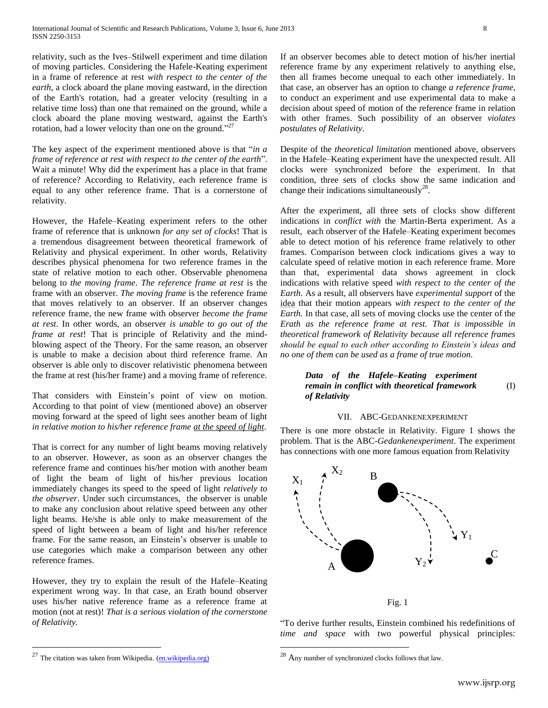relativity, such as the Ives–Stilwell experiment and time dilation of moving particles. Considering the Hafele-Keating experiment in a frame of reference at rest *with respect to the center of the earth*, a clock aboard the plane moving eastward, in the direction of the Earth's rotation, had a greater velocity (resulting in a relative time loss) than one that remained on the ground, while a clock aboard the plane moving westward, against the Earth's rotation, had a lower velocity than one on the ground."<sup>27</sup>

The key aspect of the experiment mentioned above is that "*in a frame of reference at rest with respect to the center of the earth*". Wait a minute! Why did the experiment has a place in that frame of reference? According to Relativity, each reference frame is equal to any other reference frame. That is a cornerstone of relativity.

However, the Hafele–Keating experiment refers to the other frame of reference that is unknown *for any set of clocks*! That is a tremendous disagreement between theoretical framework of Relativity and physical experiment. In other words, Relativity describes physical phenomena for two reference frames in the state of relative motion to each other. Observable phenomena belong to *the moving frame*. *The reference frame at rest* is the frame with an observer. *The moving frame* is the reference frame that moves relatively to an observer. If an observer changes reference frame, the new frame with observer *become the frame at rest*. In other words, an observer *is unable to go out of the frame at rest*! That is principle of Relativity and the mindblowing aspect of the Theory. For the same reason, an observer is unable to make a decision about third reference frame. An observer is able only to discover relativistic phenomena between the frame at rest (his/her frame) and a moving frame of reference.

That considers with Einstein's point of view on motion. According to that point of view (mentioned above) an observer moving forward at the speed of light sees another beam of light *in relative motion to his/her reference frame at the speed of light*.

That is correct for any number of light beams moving relatively to an observer. However, as soon as an observer changes the reference frame and continues his/her motion with another beam of light the beam of light of his/her previous location immediately changes its speed to the speed of light *relatively to the observer*. Under such circumstances, the observer is unable to make any conclusion about relative speed between any other light beams. He/she is able only to make measurement of the speed of light between a beam of light and his/her reference frame. For the same reason, an Einstein's observer is unable to use categories which make a comparison between any other reference frames.

However, they try to explain the result of the Hafele–Keating experiment wrong way. In that case, an Erath bound observer uses his/her native reference frame as a reference frame at motion (not at rest)! *That is a serious violation of the cornerstone of Relativity.*

If an observer becomes able to detect motion of his/her inertial reference frame by any experiment relatively to anything else, then all frames become unequal to each other immediately. In that case, an observer has an option to change *a reference frame*, to conduct an experiment and use experimental data to make a decision about speed of motion of the reference frame in relation with other frames. Such possibility of an observer *violates postulates of Relativity*.

Despite of the *theoretical limitation* mentioned above, observers in the Hafele–Keating experiment have the unexpected result. All clocks were synchronized before the experiment. In that condition, three sets of clocks show the same indication and change their indications simultaneously<sup>28</sup>.

After the experiment, all three sets of clocks show different indications in *conflict with* the Martin-Berta experiment. As a result, each observer of the Hafele–Keating experiment becomes able to detect motion of his reference frame relatively to other frames. Comparison between clock indications gives a way to calculate speed of relative motion in each reference frame. More than that, experimental data shows agreement in clock indications with relative speed *with respect to the center of the Earth*. As a result, all observers have *experimental support* of the idea that their motion appears *with respect to the center of the Earth.* In that case, all sets of moving clocks use the center of the *Erath as the reference frame at rest. That is impossible in theoretical framework of Relativity because all reference frames should be equal to each other according to Einstein's ideas and no one of them can be used as a frame of true motion.*

### *Data of the Hafele–Keating experiment remain in conflict with theoretical framework of Relativity*  (I)

# VII. ABC-GEDANKENEXPERIMENT

There is one more obstacle in Relativity. Figure 1 shows the problem. That is the ABC-*Gedankenexperiment*. The experiment has connections with one more famous equation from Relativity



"To derive further results, Einstein combined his redefinitions of *time and space* with two powerful physical principles:

 $\overline{a}$ 

The citation was taken from Wikipedia. [\(en.wikipedia.org\)](http://en.wikipedia.org/wiki/Hafele%E2%80%93Keating_experiment)

 $^{28}$  Any number of synchronized clocks follows that law.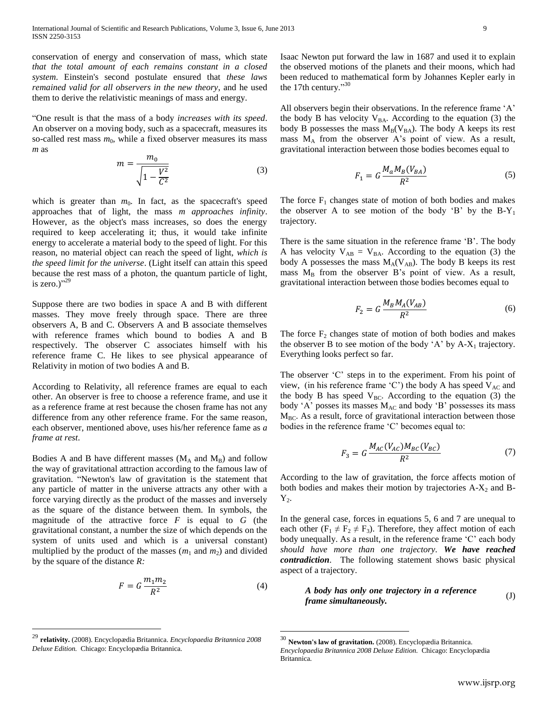conservation of energy and conservation of mass, which state *that the total amount of each remains constant in a closed system*. Einstein's second postulate ensured that *these laws remained valid for all observers in the new theory*, and he used them to derive the relativistic meanings of mass and energy.

"One result is that the mass of a body *increases with its speed*. An observer on a moving body, such as a spacecraft, measures its so-called rest mass  $m_0$ , while a fixed observer measures its mass *m* as

$$
m = \frac{m_0}{\sqrt{1 - \frac{V^2}{C^2}}}
$$
(3)

which is greater than  $m_0$ . In fact, as the spacecraft's speed approaches that of light, the mass *m approaches infinity*. However, as the object's mass increases, so does the energy required to keep accelerating it; thus, it would take infinite energy to accelerate a material body to the speed of light. For this reason, no material object can reach the speed of light, *which is the speed limit for the universe*. (Light itself can attain this speed because the rest mass of a photon, the quantum particle of light, is zero.) $"^{29}$ 

Suppose there are two bodies in space A and B with different masses. They move freely through space. There are three observers A, B and C. Observers A and B associate themselves with reference frames which bound to bodies A and B respectively. The observer C associates himself with his reference frame C. He likes to see physical appearance of Relativity in motion of two bodies A and B.

According to Relativity, all reference frames are equal to each other. An observer is free to choose a reference frame, and use it as a reference frame at rest because the chosen frame has not any difference from any other reference frame. For the same reason, each observer, mentioned above, uses his/her reference fame as *a frame at rest*.

Bodies A and B have different masses  $(M_A \text{ and } M_B)$  and follow the way of gravitational attraction according to the famous law of gravitation. "Newton's law of gravitation is the statement that any particle of matter in the universe attracts any other with a force varying directly as the product of the masses and inversely as the square of the distance between them. In symbols, the magnitude of the attractive force *F* is equal to *G* (the gravitational constant, a number the size of which depends on the system of units used and which is a universal constant) multiplied by the product of the masses  $(m_1 \text{ and } m_2)$  and divided by the square of the distance *R:*

$$
F = G \frac{m_1 m_2}{R^2} \tag{4}
$$

 $\overline{a}$ 

<sup>29</sup> **relativity.** (2008). Encyclopædia Britannica. *Encyclopaedia Britannica 2008 Deluxe Edition.* Chicago: Encyclopædia Britannica.

 $\overline{a}$ 

Isaac Newton put forward the law in 1687 and used it to explain the observed motions of the planets and their moons, which had been reduced to mathematical form by Johannes Kepler early in the 17th century."<sup>30</sup>

All observers begin their observations. In the reference frame 'A' the body B has velocity  $V_{BA}$ . According to the equation (3) the body B possesses the mass  $M_B(V_{BA})$ . The body A keeps its rest mass  $M_A$  from the observer A's point of view. As a result, gravitational interaction between those bodies becomes equal to

$$
F_1 = G \frac{M_a M_B (V_{BA})}{R^2} \tag{5}
$$

The force  $F_1$  changes state of motion of both bodies and makes the observer A to see motion of the body 'B' by the  $B-Y_1$ trajectory.

There is the same situation in the reference frame 'B'. The body A has velocity  $V_{AB} = V_{BA}$ . According to the equation (3) the body A possesses the mass  $M_A(V_{AB})$ . The body B keeps its rest mass  $M_B$  from the observer B's point of view. As a result, gravitational interaction between those bodies becomes equal to

$$
F_2 = G \frac{M_B M_A (V_{AB})}{R^2} \tag{6}
$$

The force  $F_2$  changes state of motion of both bodies and makes the observer B to see motion of the body 'A' by  $A-X_1$  trajectory. Everything looks perfect so far.

The observer 'C' steps in to the experiment. From his point of view, (in his reference frame 'C') the body A has speed  $V_{AC}$  and the body B has speed  $V_{BC}$ . According to the equation (3) the body 'A' posses its masses  $M_{AC}$  and body 'B' possesses its mass  $M<sub>BC</sub>$ . As a result, force of gravitational interaction between those bodies in the reference frame 'C' becomes equal to:

$$
F_3 = G \frac{M_{AC}(V_{AC})M_{BC}(V_{BC})}{R^2}
$$
 (7)

According to the law of gravitation, the force affects motion of both bodies and makes their motion by trajectories  $A-X_2$  and  $B Y_{2}$ .

In the general case, forces in equations 5, 6 and 7 are unequal to each other ( $F_1 \neq F_2 \neq F_3$ ). Therefore, they affect motion of each body unequally. As a result, in the reference frame 'C' each body *should have more than one trajectory. We have reached contradiction*. The following statement shows basic physical aspect of a trajectory.

*A body has only one trajectory in a reference frame simultaneously.*  (J)

<sup>30</sup> **Newton's law of gravitation.** (2008). Encyclopædia Britannica. *Encyclopaedia Britannica 2008 Deluxe Edition.* Chicago: Encyclopædia Britannica.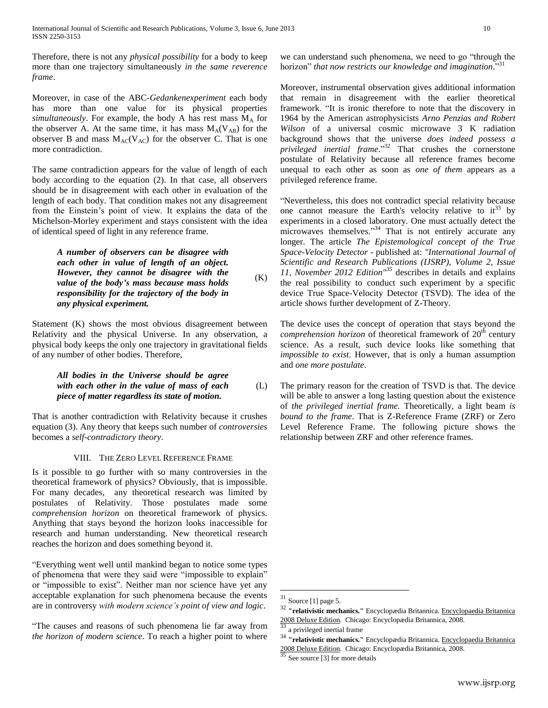Therefore, there is not any *physical possibility* for a body to keep more than one trajectory simultaneously *in the same reverence frame*.

Moreover, in case of the ABC-*Gedankenexperiment* each body has more than one value for its physical properties  $simultaneously$ . For example, the body A has rest mass  $M_A$  for the observer A. At the same time, it has mass  $M_A(V_{AB})$  for the observer B and mass  $M_{AC}(V_{AC})$  for the observer C. That is one more contradiction.

The same contradiction appears for the value of length of each body according to the equation (2). In that case, all observers should be in disagreement with each other in evaluation of the length of each body. That condition makes not any disagreement from the Einstein's point of view. It explains the data of the Michelson-Morley experiment and stays consistent with the idea of identical speed of light in any reference frame.

> *A number of observers can be disagree with each other in value of length of an object. However, they cannot be disagree with the value of the body's mass because mass holds responsibility for the trajectory of the body in any physical experiment.*   $(K)$

Statement (K) shows the most obvious disagreement between Relativity and the physical Universe. In any observation, a physical body keeps the only one trajectory in gravitational fields of any number of other bodies. Therefore,

## *All bodies in the Universe should be agree with each other in the value of mass of each piece of matter regardless its state of motion.*  (L)

That is another contradiction with Relativity because it crushes equation (3). Any theory that keeps such number of *controversies* becomes a *self-contradictory theory*.

## VIII. THE ZERO LEVEL REFERENCE FRAME

Is it possible to go further with so many controversies in the theoretical framework of physics? Obviously, that is impossible. For many decades, any theoretical research was limited by postulates of Relativity. Those postulates made some *comprehension horizon* on theoretical framework of physics. Anything that stays beyond the horizon looks inaccessible for research and human understanding. New theoretical research reaches the horizon and does something beyond it.

"Everything went well until mankind began to notice some types of phenomena that were they said were "impossible to explain" or "impossible to exist". Neither man nor science have yet any acceptable explanation for such phenomena because the events are in controversy *with modern science's point of view and logic*.

"The causes and reasons of such phenomena lie far away from *the horizon of modern science*. To reach a higher point to where we can understand such phenomena, we need to go "through the horizon" *that now restricts our knowledge and imagination*." 31

Moreover, instrumental observation gives additional information that remain in disagreement with the earlier theoretical framework. "It is ironic therefore to note that the discovery in 1964 by the American astrophysicists *Arno Penzias and Robert Wilson* of a universal cosmic microwave 3 K radiation background shows that the universe *does indeed possess a privileged inertial frame*." <sup>32</sup> That crushes the cornerstone postulate of Relativity because all reference frames become unequal to each other as soon as *one of them* appears as a privileged reference frame.

"Nevertheless, this does not contradict special relativity because one cannot measure the Earth's velocity relative to  $it^{33}$  by experiments in a closed laboratory. One must actually detect the microwaves themselves."<sup>34</sup> That is not entirely accurate any longer. The article *[The Epistemological concept of the True](http://www.ijsrp.org/research-paper-1112.php?rp=P11383)  [Space-Velocity Detector](http://www.ijsrp.org/research-paper-1112.php?rp=P11383) -* published at: *"International Journal of Scientific and Research Publications (IJSRP), Volume 2, Issue 11, November 2012 Edition"<sup>35</sup>* describes in details and explains the real possibility to conduct such experiment by a specific device True Space-Velocity Detector (TSVD). The idea of the article shows further development of Z-Theory.

The device uses the concept of operation that stays beyond the *comprehension horizon* of theoretical framework of 20<sup>th</sup> century science. As a result, such device looks like something that *impossible to exist*. However, that is only a human assumption and *one more postulate*.

The primary reason for the creation of TSVD is that. The device will be able to answer a long lasting question about the existence of *the privileged inertial frame.* Theoretically, a light beam *is bound to the frame*. That is Z-Reference Frame (ZRF) or Zero Level Reference Frame. The following picture shows the relationship between ZRF and other reference frames.

 $31$  Source [1] page 5.

<sup>32</sup> **"relativistic mechanics."** Encyclopædia Britannica. Encyclopaedia Britannica 2008 Deluxe Edition. Chicago: Encyclopædia Britannica, 2008. <sup>33</sup> a privileged inertial frame

<sup>34</sup> **"relativistic mechanics."** Encyclopædia Britannica. Encyclopaedia Britannica 2008 Deluxe Edition. Chicago: Encyclopædia Britannica, 2008.

See source [3] for more details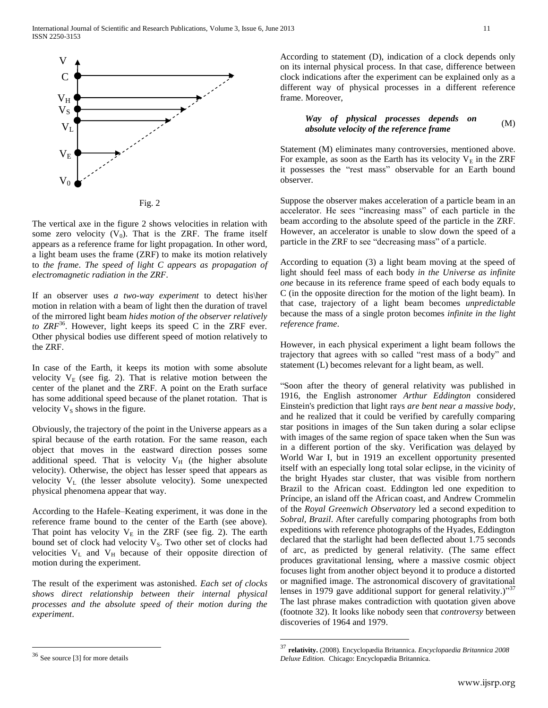

Fig. 2

The vertical axe in the figure 2 shows velocities in relation with some zero velocity  $(V_0)$ . That is the ZRF. The frame itself appears as a reference frame for light propagation. In other word, a light beam uses the frame (ZRF) to make its motion relatively to *the frame*. *The speed of light C appears as propagation of electromagnetic radiation in the ZRF*.

If an observer uses *a two-way experiment* to detect his\her motion in relation with a beam of light then the duration of travel of the mirrored light beam *hides motion of the observer relatively* to  $ZRF^{36}$ . However, light keeps its speed C in the ZRF ever. Other physical bodies use different speed of motion relatively to the ZRF.

In case of the Earth, it keeps its motion with some absolute velocity  $V_E$  (see fig. 2). That is relative motion between the center of the planet and the ZRF. A point on the Erath surface has some additional speed because of the planet rotation. That is velocity  $V<sub>S</sub>$  shows in the figure.

Obviously, the trajectory of the point in the Universe appears as a spiral because of the earth rotation. For the same reason, each object that moves in the eastward direction posses some additional speed. That is velocity  $V_H$  (the higher absolute velocity). Otherwise, the object has lesser speed that appears as velocity  $V_L$  (the lesser absolute velocity). Some unexpected physical phenomena appear that way.

According to the Hafele–Keating experiment, it was done in the reference frame bound to the center of the Earth (see above). That point has velocity  $V_E$  in the ZRF (see fig. 2). The earth bound set of clock had velocity  $V_s$ . Two other set of clocks had velocities  $V<sub>L</sub>$  and  $V<sub>H</sub>$  because of their opposite direction of motion during the experiment.

The result of the experiment was astonished. *Each set of clocks shows direct relationship between their internal physical processes and the absolute speed of their motion during the experiment*.

#### *Way of physical processes depends on absolute velocity of the reference frame*  (M)

Statement (M) eliminates many controversies, mentioned above. For example, as soon as the Earth has its velocity  $V_E$  in the ZRF it possesses the "rest mass" observable for an Earth bound observer.

Suppose the observer makes acceleration of a particle beam in an accelerator. He sees "increasing mass" of each particle in the beam according to the absolute speed of the particle in the ZRF. However, an accelerator is unable to slow down the speed of a particle in the ZRF to see "decreasing mass" of a particle.

According to equation (3) a light beam moving at the speed of light should feel mass of each body *in the Universe as infinite one* because in its reference frame speed of each body equals to C (in the opposite direction for the motion of the light beam). In that case, trajectory of a light beam becomes *unpredictable* because the mass of a single proton becomes *infinite in the light reference frame*.

However, in each physical experiment a light beam follows the trajectory that agrees with so called "rest mass of a body" and statement (L) becomes relevant for a light beam, as well.

"Soon after the theory of general relativity was published in 1916, the English astronomer *Arthur Eddington* considered Einstein's prediction that light rays *are bent near a massive body*, and he realized that it could be verified by carefully comparing star positions in images of the Sun taken during a solar eclipse with images of the same region of space taken when the Sun was in a different portion of the sky. Verification was delayed by World War I, but in 1919 an excellent opportunity presented itself with an especially long total solar eclipse, in the vicinity of the bright Hyades star cluster, that was visible from northern Brazil to the African coast. Eddington led one expedition to Príncipe, an island off the African coast, and Andrew Crommelin of the *Royal Greenwich Observatory* led a second expedition to *Sobral, Brazil*. After carefully comparing photographs from both expeditions with reference photographs of the Hyades, Eddington declared that the starlight had been deflected about 1.75 seconds of arc, as predicted by general relativity. (The same effect produces gravitational lensing, where a massive cosmic object focuses light from another object beyond it to produce a distorted or magnified image. The astronomical discovery of gravitational lenses in 1979 gave additional support for general relativity.)"<sup>37</sup> The last phrase makes contradiction with quotation given above (footnote 32). It looks like nobody seen that *controversy* between discoveries of 1964 and 1979.

 $\overline{a}$ 

According to statement (D), indication of a clock depends only on its internal physical process. In that case, difference between clock indications after the experiment can be explained only as a different way of physical processes in a different reference frame. Moreover,

See source [3] for more details

<sup>37</sup> **relativity.** (2008). Encyclopædia Britannica. *Encyclopaedia Britannica 2008 Deluxe Edition.* Chicago: Encyclopædia Britannica.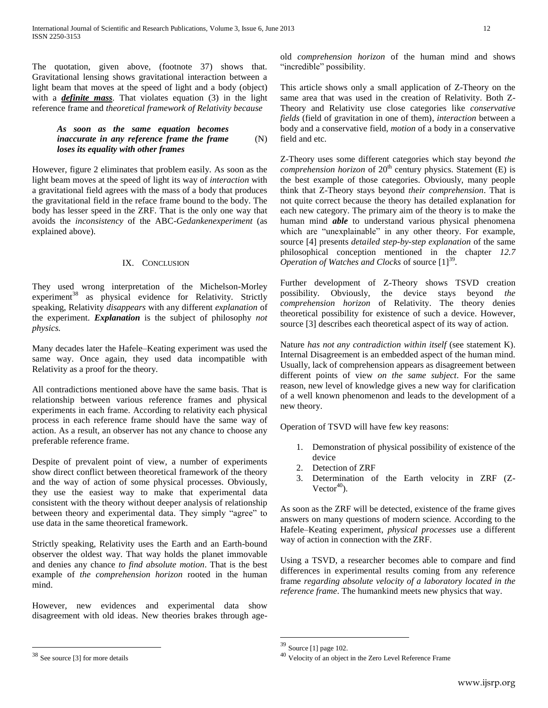The quotation, given above, (footnote 37) shows that. Gravitational lensing shows gravitational interaction between a light beam that moves at the speed of light and a body (object) with a *definite mass*. That violates equation (3) in the light reference frame and *theoretical framework of Relativity because*

### *As soon as the same equation becomes inaccurate in any reference frame the frame loses its equality with other frames* (N)

However, figure 2 eliminates that problem easily. As soon as the light beam moves at the speed of light its way of *interaction* with a gravitational field agrees with the mass of a body that produces the gravitational field in the reface frame bound to the body. The body has lesser speed in the ZRF. That is the only one way that avoids the *inconsistency* of the ABC-*Gedankenexperiment* (as explained above).

# IX. CONCLUSION

They used wrong interpretation of the Michelson-Morley experiment<sup>38</sup> as physical evidence for Relativity. Strictly speaking, Relativity *disappears* with any different *explanation* of the experiment. *Explanation* is the subject of philosophy *not physics.*

Many decades later the Hafele–Keating experiment was used the same way. Once again, they used data incompatible with Relativity as a proof for the theory.

All contradictions mentioned above have the same basis. That is relationship between various reference frames and physical experiments in each frame. According to relativity each physical process in each reference frame should have the same way of action. As a result, an observer has not any chance to choose any preferable reference frame.

Despite of prevalent point of view, a number of experiments show direct conflict between theoretical framework of the theory and the way of action of some physical processes. Obviously, they use the easiest way to make that experimental data consistent with the theory without deeper analysis of relationship between theory and experimental data. They simply "agree" to use data in the same theoretical framework.

Strictly speaking, Relativity uses the Earth and an Earth-bound observer the oldest way. That way holds the planet immovable and denies any chance *to find absolute motion*. That is the best example of *the comprehension horizon* rooted in the human mind.

However, new evidences and experimental data show disagreement with old ideas. New theories brakes through age-

 $\overline{a}$ 

old *comprehension horizon* of the human mind and shows "incredible" possibility.

This article shows only a small application of Z-Theory on the same area that was used in the creation of Relativity. Both Z-Theory and Relativity use close categories like *conservative fields* (field of gravitation in one of them), *interaction* between a body and a conservative field, *motion* of a body in a conservative field and etc.

Z-Theory uses some different categories which stay beyond *the comprehension horizon* of 20<sup>th</sup> century physics. Statement (E) is the best example of those categories. Obviously, many people think that Z-Theory stays beyond *their comprehension*. That is not quite correct because the theory has detailed explanation for each new category. The primary aim of the theory is to make the human mind *able* to understand various physical phenomena which are "unexplainable" in any other theory. For example, source [4] presents *detailed step-by-step explanation* of the same philosophical conception mentioned in the chapter *12.7*   $\emph{Operation of Watches}$  and Clocks of source  $[1]^{39}$ .

Further development of Z-Theory shows TSVD creation possibility. Obviously, the device stays beyond *the comprehension horizon* of Relativity. The theory denies theoretical possibility for existence of such a device. However, source [3] describes each theoretical aspect of its way of action.

Nature *has not any contradiction within itself* (see statement K). Internal Disagreement is an embedded aspect of the human mind. Usually, lack of comprehension appears as disagreement between different points of view *on the same subject*. For the same reason, new level of knowledge gives a new way for clarification of a well known phenomenon and leads to the development of a new theory.

Operation of TSVD will have few key reasons:

- 1. Demonstration of physical possibility of existence of the device
- 2. Detection of ZRF
- 3. Determination of the Earth velocity in ZRF (Z-Vector $40$ .

As soon as the ZRF will be detected, existence of the frame gives answers on many questions of modern science. According to the Hafele–Keating experiment, *physical processes* use a different way of action in connection with the ZRF.

Using a TSVD, a researcher becomes able to compare and find differences in experimental results coming from any reference frame *regarding absolute velocity of a laboratory located in the reference frame*. The humankind meets new physics that way.

See source [3] for more details

<sup>39</sup> Source [1] page 102.

<sup>40</sup> Velocity of an object in the Zero Level Reference Frame